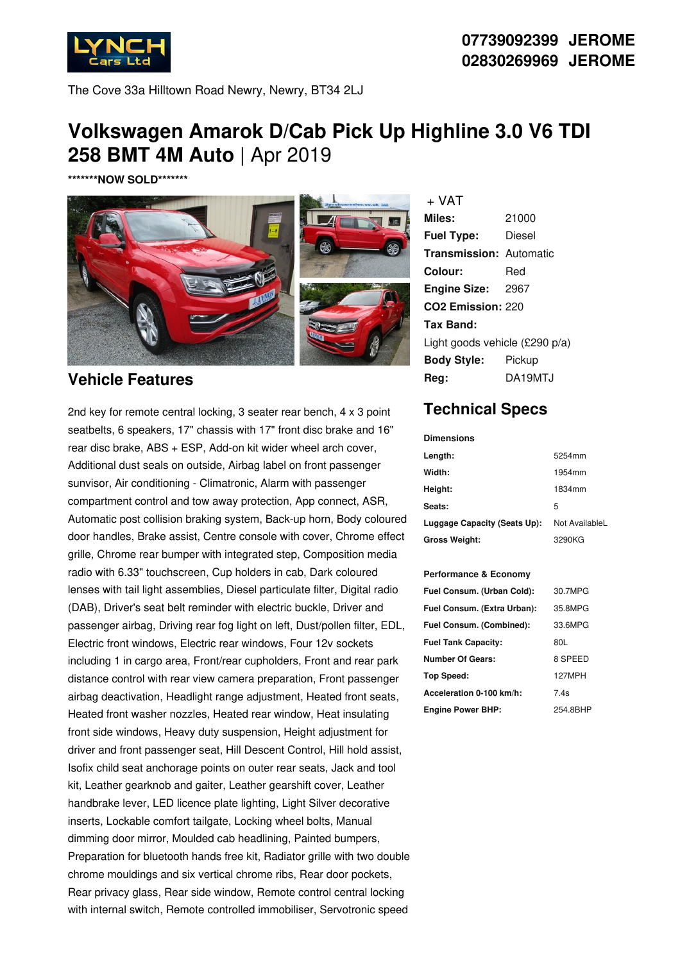

**07739092399 JEROME 02830269969 JEROME**

The Cove 33a Hilltown Road Newry, Newry, BT34 2LJ

# **Volkswagen Amarok D/Cab Pick Up Highline 3.0 V6 TDI 258 BMT 4M Auto** | Apr 2019

**\*\*\*\*\*\*\*NOW SOLD\*\*\*\*\*\*\***



#### **Vehicle Features**

2nd key for remote central locking, 3 seater rear bench, 4 x 3 point seatbelts, 6 speakers, 17" chassis with 17" front disc brake and 16" rear disc brake, ABS + ESP, Add-on kit wider wheel arch cover, Additional dust seals on outside, Airbag label on front passenger sunvisor, Air conditioning - Climatronic, Alarm with passenger compartment control and tow away protection, App connect, ASR, Automatic post collision braking system, Back-up horn, Body coloured door handles, Brake assist, Centre console with cover, Chrome effect grille, Chrome rear bumper with integrated step, Composition media radio with 6.33" touchscreen, Cup holders in cab, Dark coloured lenses with tail light assemblies, Diesel particulate filter, Digital radio (DAB), Driver's seat belt reminder with electric buckle, Driver and passenger airbag, Driving rear fog light on left, Dust/pollen filter, EDL, Electric front windows, Electric rear windows, Four 12v sockets including 1 in cargo area, Front/rear cupholders, Front and rear park distance control with rear view camera preparation, Front passenger airbag deactivation, Headlight range adjustment, Heated front seats, Heated front washer nozzles, Heated rear window, Heat insulating front side windows, Heavy duty suspension, Height adjustment for driver and front passenger seat, Hill Descent Control, Hill hold assist, Isofix child seat anchorage points on outer rear seats, Jack and tool kit, Leather gearknob and gaiter, Leather gearshift cover, Leather handbrake lever, LED licence plate lighting, Light Silver decorative inserts, Lockable comfort tailgate, Locking wheel bolts, Manual dimming door mirror, Moulded cab headlining, Painted bumpers, Preparation for bluetooth hands free kit, Radiator grille with two double chrome mouldings and six vertical chrome ribs, Rear door pockets, Rear privacy glass, Rear side window, Remote control central locking with internal switch, Remote controlled immobiliser, Servotronic speed

**Miles:** 21000 **Fuel Type:** Diesel **Transmission:** Automatic **Colour:** Red **Engine Size:** 2967 **CO2 Emission:** 220 **Tax Band:** Light goods vehicle (£290 p/a) **Body Style:** Pickup **Reg:** DA19MTJ + VAT

## **Technical Specs**

| <b>Dimensions</b>            |                |
|------------------------------|----------------|
| Length:                      | 5254mm         |
| Width:                       | 1954mm         |
| Height:                      | 1834mm         |
| Seats:                       | 5              |
| Luggage Capacity (Seats Up): | Not AvailableL |
| <b>Gross Weight:</b>         | 3290KG         |

#### **Performance & Economy**

| Fuel Consum. (Urban Cold):  | 30.7MPG  |
|-----------------------------|----------|
| Fuel Consum. (Extra Urban): | 35.8MPG  |
| Fuel Consum. (Combined):    | 33.6MPG  |
| <b>Fuel Tank Capacity:</b>  | 80L      |
| <b>Number Of Gears:</b>     | 8 SPEED  |
| Top Speed:                  | 127MPH   |
| Acceleration 0-100 km/h:    | 7.4s     |
| <b>Engine Power BHP:</b>    | 254.8BHP |